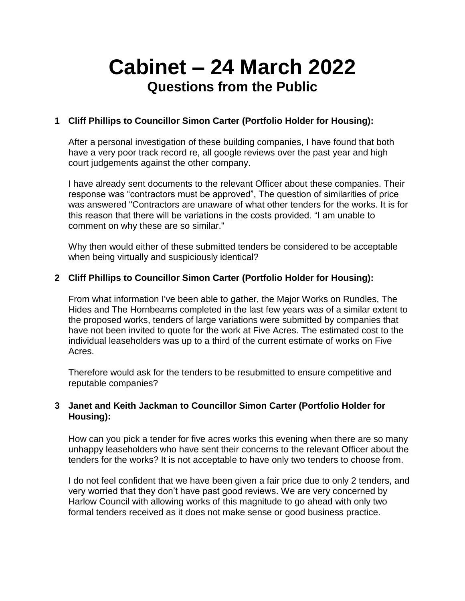# **Cabinet – 24 March 2022 Questions from the Public**

## **1 Cliff Phillips to Councillor Simon Carter (Portfolio Holder for Housing):**

After a personal investigation of these building companies, I have found that both have a very poor track record re, all google reviews over the past year and high court judgements against the other company.

I have already sent documents to the relevant Officer about these companies. Their response was "contractors must be approved", The question of similarities of price was answered "Contractors are unaware of what other tenders for the works. It is for this reason that there will be variations in the costs provided. "I am unable to comment on why these are so similar."

Why then would either of these submitted tenders be considered to be acceptable when being virtually and suspiciously identical?

### **2 Cliff Phillips to Councillor Simon Carter (Portfolio Holder for Housing):**

From what information I've been able to gather, the Major Works on Rundles, The Hides and The Hornbeams completed in the last few years was of a similar extent to the proposed works, tenders of large variations were submitted by companies that have not been invited to quote for the work at Five Acres. The estimated cost to the individual leaseholders was up to a third of the current estimate of works on Five Acres.

Therefore would ask for the tenders to be resubmitted to ensure competitive and reputable companies?

## **3 Janet and Keith Jackman to Councillor Simon Carter (Portfolio Holder for Housing):**

How can you pick a tender for five acres works this evening when there are so many unhappy leaseholders who have sent their concerns to the relevant Officer about the tenders for the works? It is not acceptable to have only two tenders to choose from.

I do not feel confident that we have been given a fair price due to only 2 tenders, and very worried that they don't have past good reviews. We are very concerned by Harlow Council with allowing works of this magnitude to go ahead with only two formal tenders received as it does not make sense or good business practice.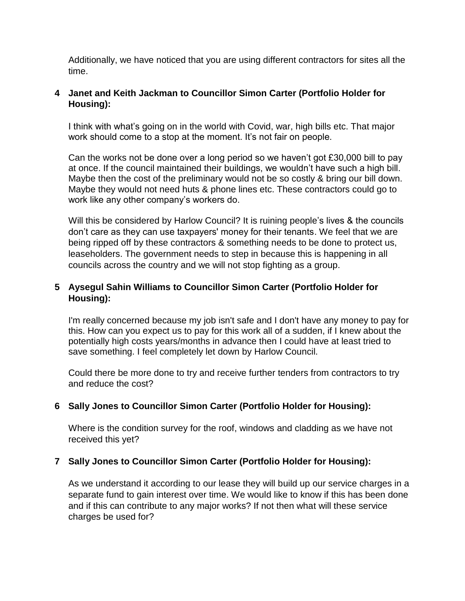Additionally, we have noticed that you are using different contractors for sites all the time.

### **4 Janet and Keith Jackman to Councillor Simon Carter (Portfolio Holder for Housing):**

I think with what's going on in the world with Covid, war, high bills etc. That major work should come to a stop at the moment. It's not fair on people.

Can the works not be done over a long period so we haven't got £30,000 bill to pay at once. If the council maintained their buildings, we wouldn't have such a high bill. Maybe then the cost of the preliminary would not be so costly & bring our bill down. Maybe they would not need huts & phone lines etc. These contractors could go to work like any other company's workers do.

Will this be considered by Harlow Council? It is ruining people's lives & the councils don't care as they can use taxpayers' money for their tenants. We feel that we are being ripped off by these contractors & something needs to be done to protect us, leaseholders. The government needs to step in because this is happening in all councils across the country and we will not stop fighting as a group.

## **5 Aysegul Sahin Williams to Councillor Simon Carter (Portfolio Holder for Housing):**

I'm really concerned because my job isn't safe and I don't have any money to pay for this. How can you expect us to pay for this work all of a sudden, if I knew about the potentially high costs years/months in advance then I could have at least tried to save something. I feel completely let down by Harlow Council.

Could there be more done to try and receive further tenders from contractors to try and reduce the cost?

## **6 Sally Jones to Councillor Simon Carter (Portfolio Holder for Housing):**

Where is the condition survey for the roof, windows and cladding as we have not received this yet?

## **7 Sally Jones to Councillor Simon Carter (Portfolio Holder for Housing):**

As we understand it according to our lease they will build up our service charges in a separate fund to gain interest over time. We would like to know if this has been done and if this can contribute to any major works? If not then what will these service charges be used for?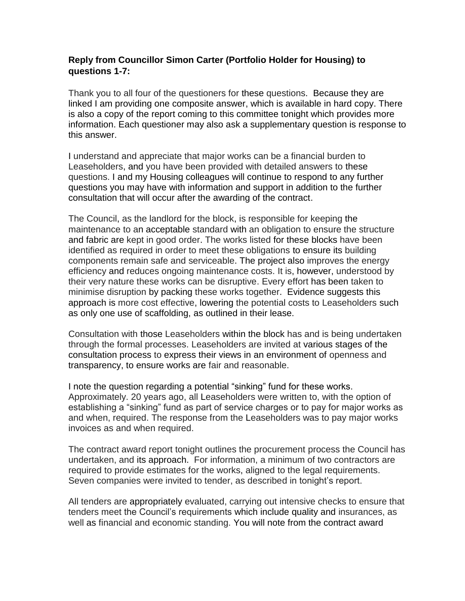#### **Reply from Councillor Simon Carter (Portfolio Holder for Housing) to questions 1-7:**

Thank you to all four of the questioners for these questions. Because they are linked I am providing one composite answer, which is available in hard copy. There is also a copy of the report coming to this committee tonight which provides more information. Each questioner may also ask a supplementary question is response to this answer.

I understand and appreciate that major works can be a financial burden to Leaseholders, and you have been provided with detailed answers to these questions. I and my Housing colleagues will continue to respond to any further questions you may have with information and support in addition to the further consultation that will occur after the awarding of the contract.

The Council, as the landlord for the block, is responsible for keeping the maintenance to an acceptable standard with an obligation to ensure the structure and fabric are kept in good order. The works listed for these blocks have been identified as required in order to meet these obligations to ensure its building components remain safe and serviceable. The project also improves the energy efficiency and reduces ongoing maintenance costs. It is, however, understood by their very nature these works can be disruptive. Every effort has been taken to minimise disruption by packing these works together. Evidence suggests this approach is more cost effective, lowering the potential costs to Leaseholders such as only one use of scaffolding, as outlined in their lease.

Consultation with those Leaseholders within the block has and is being undertaken through the formal processes. Leaseholders are invited at various stages of the consultation process to express their views in an environment of openness and transparency, to ensure works are fair and reasonable.

I note the question regarding a potential "sinking" fund for these works. Approximately. 20 years ago, all Leaseholders were written to, with the option of establishing a "sinking" fund as part of service charges or to pay for major works as and when, required. The response from the Leaseholders was to pay major works invoices as and when required.

The contract award report tonight outlines the procurement process the Council has undertaken, and its approach. For information, a minimum of two contractors are required to provide estimates for the works, aligned to the legal requirements. Seven companies were invited to tender, as described in tonight's report.

All tenders are appropriately evaluated, carrying out intensive checks to ensure that tenders meet the Council's requirements which include quality and insurances, as well as financial and economic standing. You will note from the contract award